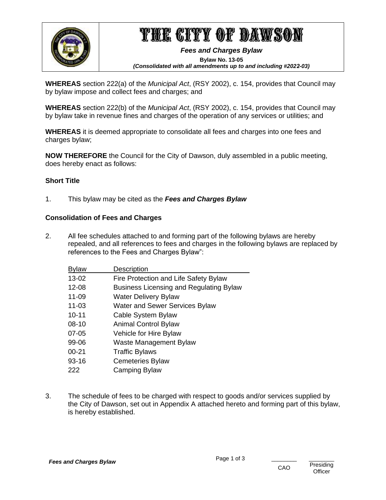

# THE CITY OF DAWSON

*Fees and Charges Bylaw*  **Bylaw No. 13-05**  *(Consolidated with all amendments up to and including #2022-03)*

**WHEREAS** section 222(a) of the *Municipal Act*, (RSY 2002), c. 154, provides that Council may by bylaw impose and collect fees and charges; and

**WHEREAS** section 222(b) of the *Municipal Act*, (RSY 2002), c. 154, provides that Council may by bylaw take in revenue fines and charges of the operation of any services or utilities; and

**WHEREAS** it is deemed appropriate to consolidate all fees and charges into one fees and charges bylaw;

**NOW THEREFORE** the Council for the City of Dawson, duly assembled in a public meeting, does hereby enact as follows:

## **Short Title**

1. This bylaw may be cited as the *Fees and Charges Bylaw*

## **Consolidation of Fees and Charges**

2. All fee schedules attached to and forming part of the following bylaws are hereby repealed, and all references to fees and charges in the following bylaws are replaced by references to the Fees and Charges Bylaw":

| <b>Bylaw</b> | <b>Description</b>                             |
|--------------|------------------------------------------------|
| 13-02        | Fire Protection and Life Safety Bylaw          |
| 12-08        | <b>Business Licensing and Regulating Bylaw</b> |
| 11-09        | <b>Water Delivery Bylaw</b>                    |
| $11 - 03$    | <b>Water and Sewer Services Bylaw</b>          |
| $10 - 11$    | Cable System Bylaw                             |
| $08-10$      | <b>Animal Control Bylaw</b>                    |
| $07 - 05$    | Vehicle for Hire Bylaw                         |
| 99-06        | Waste Management Bylaw                         |
| $00 - 21$    | <b>Traffic Bylaws</b>                          |
| 93-16        | <b>Cemeteries Bylaw</b>                        |
| 222          | Camping Bylaw                                  |
|              |                                                |

3. The schedule of fees to be charged with respect to goods and/or services supplied by the City of Dawson, set out in Appendix A attached hereto and forming part of this bylaw, is hereby established.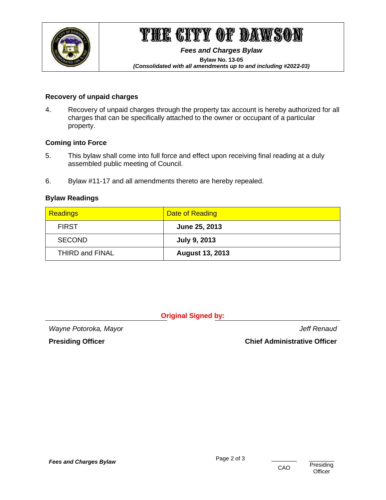

# THE CITY OF DAWSON

*Fees and Charges Bylaw* 

**Bylaw No. 13-05**  *(Consolidated with all amendments up to and including #2022-03)*

### **Recovery of unpaid charges**

4. Recovery of unpaid charges through the property tax account is hereby authorized for all charges that can be specifically attached to the owner or occupant of a particular property.

### **Coming into Force**

- 5. This bylaw shall come into full force and effect upon receiving final reading at a duly assembled public meeting of Council.
- 6. Bylaw #11-17 and all amendments thereto are hereby repealed.

## **Bylaw Readings**

| Readings        | Date of Reading        |
|-----------------|------------------------|
| <b>FIRST</b>    | June 25, 2013          |
| <b>SECOND</b>   | <b>July 9, 2013</b>    |
| THIRD and FINAL | <b>August 13, 2013</b> |

**Original Signed by:**

*Wayne Potoroka, Mayor Jeff Renaud*

**Presiding Officer Chief Administrative Officer**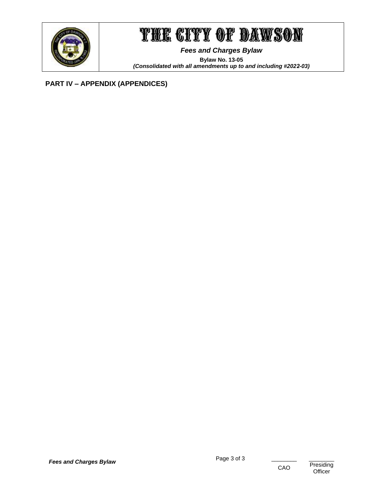

## THE CITY OF DAWSON

*Fees and Charges Bylaw*  **Bylaw No. 13-05**  *(Consolidated with all amendments up to and including #2022-03)*

## **PART IV – APPENDIX (APPENDICES)**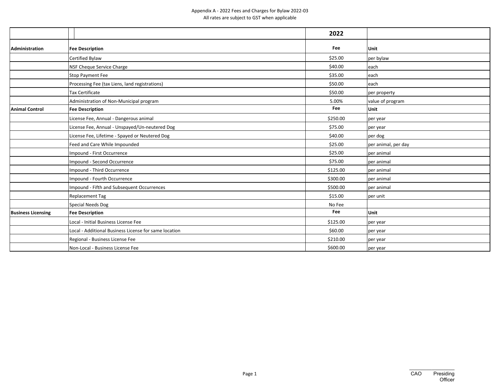|                           |                                                       | 2022     |                     |
|---------------------------|-------------------------------------------------------|----------|---------------------|
| <b>Administration</b>     | <b>Fee Description</b>                                | Fee      | Unit                |
|                           | Certified Bylaw                                       | \$25.00  | per bylaw           |
|                           | NSF Cheque Service Charge                             | \$40.00  | each                |
|                           | Stop Payment Fee                                      | \$35.00  | each                |
|                           | Processing Fee (tax Liens, land registrations)        | \$50.00  | each                |
|                           | <b>Tax Certificate</b>                                | \$50.00  | per property        |
|                           | Administration of Non-Municipal program               | 5.00%    | value of program    |
| <b>Animal Control</b>     | <b>Fee Description</b>                                | Fee      | Unit                |
|                           | License Fee, Annual - Dangerous animal                | \$250.00 | per year            |
|                           | License Fee, Annual - Unspayed/Un-neutered Dog        | \$75.00  | per year            |
|                           | License Fee, Lifetime - Spayed or Neutered Dog        | \$40.00  | per dog             |
|                           | Feed and Care While Impounded                         | \$25.00  | per animal, per day |
|                           | Impound - First Occurrence                            | \$25.00  | per animal          |
|                           | Impound - Second Occurrence                           | \$75.00  | per animal          |
|                           | Impound - Third Occurrence                            | \$125.00 | per animal          |
|                           | Impound - Fourth Occurrence                           | \$300.00 | per animal          |
|                           | Impound - Fifth and Subsequent Occurrences            | \$500.00 | per animal          |
|                           | Replacement Tag                                       | \$15.00  | per unit            |
|                           | Special Needs Dog                                     | No Fee   |                     |
| <b>Business Licensing</b> | <b>Fee Description</b>                                | Fee      | Unit                |
|                           | Local - Initial Business License Fee                  | \$125.00 | per year            |
|                           | Local - Additional Business License for same location | \$60.00  | per year            |
|                           | Regional - Business License Fee                       | \$210.00 | per year            |
|                           | Non-Local - Business License Fee                      | \$600.00 | per year            |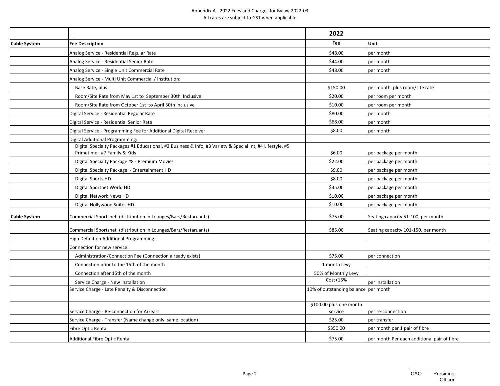|                     |                                                                                                                                          | 2022                                   |                                             |
|---------------------|------------------------------------------------------------------------------------------------------------------------------------------|----------------------------------------|---------------------------------------------|
| <b>Cable System</b> | <b>Fee Description</b>                                                                                                                   | Fee                                    | Unit                                        |
|                     | Analog Service - Residential Regular Rate                                                                                                | \$48.00                                | per month                                   |
|                     | Analog Service - Residential Senior Rate                                                                                                 | \$44.00                                | per month                                   |
|                     | Analog Service - Single Unit Commercial Rate                                                                                             | \$48.00                                | per month                                   |
|                     | Analog Service - Multi Unit Commercial / Institution:                                                                                    |                                        |                                             |
|                     | Base Rate, plus                                                                                                                          | \$150.00                               | per month, plus room/site rate              |
|                     | Room/Site Rate from May 1st to September 30th Inclusive                                                                                  | \$20.00                                | per room per month                          |
|                     | Room/Site Rate from October 1st to April 30th Inclusive                                                                                  | \$10.00                                | per room per month                          |
|                     | Digital Service - Residential Regular Rate                                                                                               | \$80.00                                | per month                                   |
|                     | Digital Service - Residential Senior Rate                                                                                                | \$68.00                                | per month                                   |
|                     | Digital Service - Programming Fee for Additional Digital Receiver                                                                        | \$8.00                                 | per month                                   |
|                     | Digital Additional Programming:                                                                                                          |                                        |                                             |
|                     | Digital Specialty Packages #1 Educational, #2 Business & Info, #3 Variety & Special Int, #4 Lifestyle, #5<br>Primetime, #7 Family & Kids | \$6.00                                 | per package per month                       |
|                     | Digital Specialty Package #8 - Premium Movies                                                                                            | \$22.00                                | per package per month                       |
|                     | Digital Specialty Package - Entertainment HD                                                                                             | \$9.00                                 | per package per month                       |
|                     | Digital Sports HD                                                                                                                        | \$8.00                                 | per package per month                       |
|                     | Digital Sportnet World HD                                                                                                                | \$35.00                                | per package per month                       |
|                     | Digital Network News HD                                                                                                                  | \$10.00                                | per package per month                       |
|                     | Digital Hollywood Suites HD                                                                                                              | \$10.00                                | per package per month                       |
| <b>Cable System</b> | Commercial Sportsnet (distribution in Lounges/Bars/Restaruants)                                                                          | \$75.00                                | Seating capacity 51-100, per month          |
|                     | Commercial Sportsnet (distribution in Lounges/Bars/Restaruants)                                                                          | \$85.00                                | Seating capacity 101-150, per month         |
|                     | High Definition Additional Programming:                                                                                                  |                                        |                                             |
|                     | Connection for new service:                                                                                                              |                                        |                                             |
|                     | Administration/Connection Fee (Connection already exists)                                                                                | \$75.00                                | per connection                              |
|                     | Connection prior to the 15th of the month                                                                                                | 1 month Levy                           |                                             |
|                     | Connection after 15th of the month                                                                                                       | 50% of Monthly Levy                    |                                             |
|                     | Service Charge - New Installation                                                                                                        | Cost+15%                               | per installation                            |
|                     | Service Charge - Late Penalty & Disconnection                                                                                            | 10% of outstanding balance   per month |                                             |
|                     | Service Charge - Re-connection for Arrears                                                                                               | \$100.00 plus one month<br>service     | per re-connection                           |
|                     | Service Charge - Transfer (Name change only, same location)                                                                              | \$25.00                                | per transfer                                |
|                     | Fibre Optic Rental                                                                                                                       | \$350.00                               | per month per 1 pair of fibre               |
|                     | <b>Additional Fibre Optic Rental</b>                                                                                                     | \$75.00                                | per month Per each additional pair of fibre |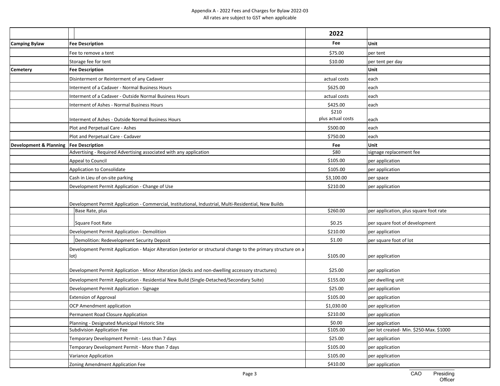|                        |                                                                                                                        | 2022              |                                         |
|------------------------|------------------------------------------------------------------------------------------------------------------------|-------------------|-----------------------------------------|
| <b>Camping Bylaw</b>   | <b>Fee Description</b>                                                                                                 | Fee               | Unit                                    |
|                        | Fee to remove a tent                                                                                                   | \$75.00           | per tent                                |
|                        | Storage fee for tent                                                                                                   | \$10.00           | per tent per day                        |
| <b>Cemetery</b>        | <b>Fee Description</b>                                                                                                 |                   | Unit                                    |
|                        | Disinterment or Reinterment of any Cadaver                                                                             | actual costs      | each                                    |
|                        | Interment of a Cadaver - Normal Business Hours                                                                         | \$625.00          | each                                    |
|                        | Interment of a Cadaver - Outside Normal Business Hours                                                                 | actual costs      | each                                    |
|                        | Interment of Ashes - Normal Business Hours                                                                             | \$425.00          | each                                    |
|                        |                                                                                                                        | \$210             |                                         |
|                        | Interment of Ashes - Outside Normal Business Hours                                                                     | plus actual costs | each                                    |
|                        | Plot and Perpetual Care - Ashes                                                                                        | \$500.00          | each                                    |
|                        | Plot and Perpetual Care - Cadaver                                                                                      | \$750.00          | each                                    |
| Development & Planning | <b>Fee Description</b>                                                                                                 | Fee               | Unit                                    |
|                        | Advertising - Required Advertising associated with any application                                                     | \$80              | signage replacement fee                 |
|                        | Appeal to Council                                                                                                      | \$105.00          | per application                         |
|                        | Application to Consolidate                                                                                             | \$105.00          | per application                         |
|                        | Cash in Lieu of on-site parking                                                                                        | \$3,100.00        | per space                               |
|                        | Development Permit Application - Change of Use                                                                         | \$210.00          | per application                         |
|                        | Development Permit Application - Commercial, Institutional, Industrial, Multi-Residential, New Builds                  |                   |                                         |
|                        | Base Rate, plus                                                                                                        | \$260.00          | per application, plus square foot rate  |
|                        | Square Foot Rate                                                                                                       | \$0.25            | per square foot of development          |
|                        | Development Permit Application - Demolition                                                                            | \$210.00          | per application                         |
|                        | Demolition: Redevelopment Security Deposit                                                                             | \$1.00            | per square foot of lot                  |
|                        | Development Permit Application - Major Alteration (exterior or structural change to the primary structure on a<br>lot) | \$105.00          | per application                         |
|                        | Development Permit Application - Minor Alteration (decks and non-dwelling accessory structures)                        | \$25.00           | per application                         |
|                        | Development Permit Application - Residential New Build (Single-Detached/Secondary Suite)                               | \$155.00          | per dwelling unit                       |
|                        | Development Permit Application - Signage                                                                               | \$25.00           | per application                         |
|                        | <b>Extension of Approval</b>                                                                                           | \$105.00          | per application                         |
|                        | OCP Amendment application                                                                                              | \$1,030.00        | per application                         |
|                        | Permanent Road Closure Application                                                                                     | \$210.00          | per application                         |
|                        | Planning - Designated Municipal Historic Site                                                                          | \$0.00            | per application                         |
|                        | Subdivision Application Fee                                                                                            | \$105.00          | per lot created- Min. \$250-Max. \$1000 |
|                        | Temporary Development Permit - Less than 7 days                                                                        | \$25.00           | per application                         |
|                        | Temporary Development Permit - More than 7 days                                                                        | \$105.00          | per application                         |
|                        | Variance Application                                                                                                   | \$105.00          | per application                         |
|                        | Zoning Amendment Application Fee                                                                                       | \$410.00          | per application                         |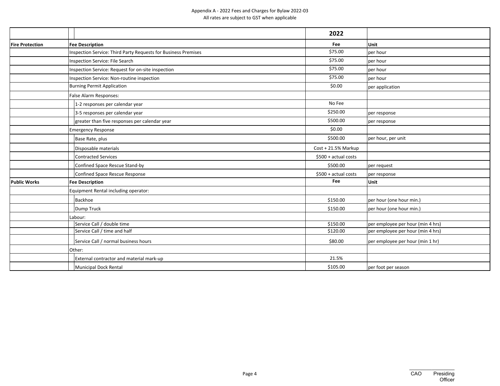|                        |                                                                | 2022                  |                                   |
|------------------------|----------------------------------------------------------------|-----------------------|-----------------------------------|
| <b>Fire Protection</b> | <b>Fee Description</b>                                         | Fee                   | Unit                              |
|                        | Inspection Service: Third Party Requests for Business Premises | \$75.00               | per hour                          |
|                        | Inspection Service: File Search                                | \$75.00               | per hour                          |
|                        | Inspection Service: Request for on-site inspection             | \$75.00               | per hour                          |
|                        | Inspection Service: Non-routine inspection                     | \$75.00               | per hour                          |
|                        | <b>Burning Permit Application</b>                              | \$0.00                | per application                   |
|                        | False Alarm Responses:                                         |                       |                                   |
|                        | 1-2 responses per calendar year                                | No Fee                |                                   |
|                        | 3-5 responses per calendar year                                | \$250.00              | per response                      |
|                        | greater than five responses per calendar year                  | \$500.00              | per response                      |
|                        | <b>Emergency Response</b>                                      | \$0.00                |                                   |
|                        | Base Rate, plus                                                | \$500.00              | per hour, per unit                |
|                        | Disposable materials                                           | Cost + 21.5% Markup   |                                   |
|                        | <b>Contracted Services</b>                                     | $$500 + actual costs$ |                                   |
|                        | Confined Space Rescue Stand-by                                 | \$500.00              | per request                       |
|                        | Confined Space Rescue Response                                 | \$500 + actual costs  | per response                      |
| <b>Public Works</b>    | <b>Fee Description</b>                                         | Fee                   | Unit                              |
|                        | Equipment Rental including operator:                           |                       |                                   |
|                        | Backhoe                                                        | \$150.00              | per hour (one hour min.)          |
|                        | Dump Truck                                                     | \$150.00              | per hour (one hour min.)          |
|                        | Labour:                                                        |                       |                                   |
|                        | Service Call / double time                                     | \$150.00              | per employee per hour (min 4 hrs) |
|                        | Service Call / time and half                                   | \$120.00              | per employee per hour (min 4 hrs) |
|                        | Service Call / normal business hours                           | \$80.00               | per employee per hour (min 1 hr)  |
|                        | Other:                                                         |                       |                                   |
|                        | External contractor and material mark-up                       | 21.5%                 |                                   |
|                        | Municipal Dock Rental                                          | \$105.00              | per foot per season               |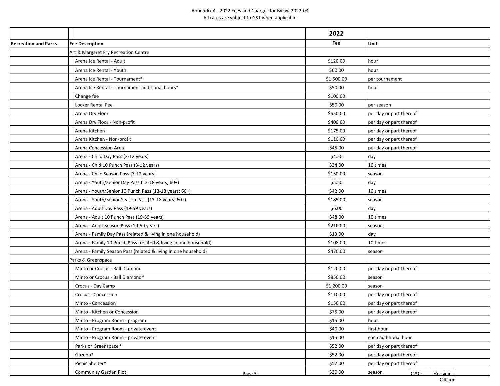|                             |                                                                  | 2022       |                            |
|-----------------------------|------------------------------------------------------------------|------------|----------------------------|
| <b>Recreation and Parks</b> | <b>Fee Description</b>                                           | Fee        | Unit                       |
|                             | Art & Margaret Fry Recreation Centre                             |            |                            |
|                             | Arena Ice Rental - Adult                                         | \$120.00   | hour                       |
|                             | Arena Ice Rental - Youth                                         | \$60.00    | hour                       |
|                             | Arena Ice Rental - Tournament*                                   | \$1,500.00 | per tournament             |
|                             | Arena Ice Rental - Tournament additional hours*                  | \$50.00    | hour                       |
|                             | Change fee                                                       | \$100.00   |                            |
|                             | Locker Rental Fee                                                | \$50.00    | per season                 |
|                             | Arena Dry Floor                                                  | \$550.00   | per day or part thereof    |
|                             | Arena Dry Floor - Non-profit                                     | \$400.00   | per day or part thereof    |
|                             | Arena Kitchen                                                    | \$175.00   | per day or part thereof    |
|                             | Arena Kitchen - Non-profit                                       | \$110.00   | per day or part thereof    |
|                             | Arena Concession Area                                            | \$45.00    | per day or part thereof    |
|                             | Arena - Child Day Pass (3-12 years)                              | \$4.50     | day                        |
|                             | Arena - Chid 10 Punch Pass (3-12 years)                          | \$34.00    | 10 times                   |
|                             | Arena - Child Season Pass (3-12 years)                           | \$150.00   | season                     |
|                             | Arena - Youth/Senior Day Pass (13-18 years; 60+)                 | \$5.50     | day                        |
|                             | Arena - Youth/Senior 10 Punch Pass (13-18 years; 60+)            | \$42.00    | 10 times                   |
|                             | Arena - Youth/Senior Season Pass (13-18 years; 60+)              | \$185.00   | season                     |
|                             | Arena - Adult Day Pass (19-59 years)                             | \$6.00     | day                        |
|                             | Arena - Adult 10 Punch Pass (19-59 years)                        | \$48.00    | 10 times                   |
|                             | Arena - Adult Season Pass (19-59 years)                          | \$210.00   | season                     |
|                             | Arena - Family Day Pass (related & living in one household)      | \$13.00    | day                        |
|                             | Arena - Family 10 Punch Pass (related & living in one household) | \$108.00   | 10 times                   |
|                             | Arena - Family Season Pass (related & living in one household)   | \$470.00   | season                     |
|                             | Parks & Greenspace                                               |            |                            |
|                             | Minto or Crocus - Ball Diamond                                   | \$120.00   | per day or part thereof    |
|                             | Minto or Crocus - Ball Diamond*                                  | \$850.00   | season                     |
|                             | Crocus - Day Camp                                                | \$1,200.00 | season                     |
|                             | Crocus - Concession                                              | \$110.00   | per day or part thereof    |
|                             | Minto - Concession                                               | \$150.00   | per day or part thereof    |
|                             | Minto - Kitchen or Concession                                    | \$75.00    | per day or part thereof    |
|                             | Minto - Program Room - program                                   | \$15.00    | hour                       |
|                             | Minto - Program Room - private event                             | \$40.00    | first hour                 |
|                             | Minto - Program Room - private event                             | \$15.00    | each additional hour       |
|                             | Parks or Greenspace*                                             | \$52.00    | per day or part thereof    |
|                             | Gazebo*                                                          | \$52.00    | per day or part thereof    |
|                             | Picnic Shelter*                                                  | \$52.00    | per day or part thereof    |
|                             | Community Garden Plot<br>Page 5                                  | \$30.00    | season<br>CAO<br>Presidina |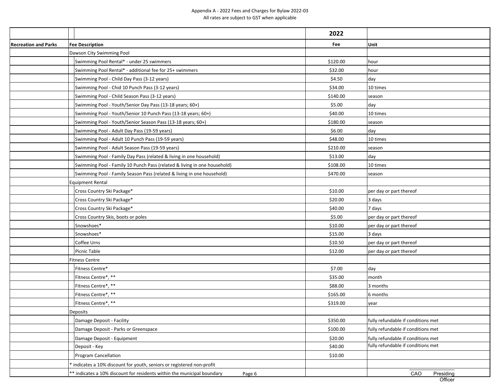| Unit<br><b>Fee Description</b><br>Fee<br>Dawson City Swimming Pool<br>Swimming Pool Rental* - under 25 swimmers<br>\$120.00<br>hour<br>Swimming Pool Rental* - additional fee for 25+ swimmers<br>\$32.00<br>hour<br>Swimming Pool - Child Day Pass (3-12 years)<br>\$4.50<br>day<br>Swimming Pool - Chid 10 Punch Pass (3-12 years)<br>\$34.00<br>10 times<br>Swimming Pool - Child Season Pass (3-12 years)<br>\$140.00<br>season<br>day<br>Swimming Pool - Youth/Senior Day Pass (13-18 years; 60+)<br>\$5.00<br>\$40.00<br>10 times<br>Swimming Pool - Youth/Senior 10 Punch Pass (13-18 years; 60+)<br>Swimming Pool - Youth/Senior Season Pass (13-18 years; 60+)<br>\$180.00<br>season<br>Swimming Pool - Adult Day Pass (19-59 years)<br>\$6.00<br>day<br>Swimming Pool - Adult 10 Punch Pass (19-59 years)<br>\$48.00<br>10 times<br>Swimming Pool - Adult Season Pass (19-59 years)<br>\$210.00<br>season<br>Swimming Pool - Family Day Pass (related & living in one household)<br>\$13.00<br>day<br>Swimming Pool - Family 10 Punch Pass (related & living in one household)<br>\$108.00<br>10 times<br>Swimming Pool - Family Season Pass (related & living in one household)<br>\$470.00<br>season<br><b>Equipment Rental</b><br>Cross Country Ski Package*<br>\$10.00<br>per day or part thereof<br>Cross Country Ski Package*<br>\$20.00<br>3 days<br>Cross Country Ski Package*<br>\$40.00<br>7 days<br>Cross Country Skis, boots or poles<br>\$5.00<br>per day or part thereof<br>Snowshoes*<br>\$10.00<br>per day or part thereof<br>Snowshoes*<br>\$15.00<br>3 days<br>Coffee Urns<br>per day or part thereof<br>\$10.50<br>Picnic Table<br>\$12.00<br>per day or part thereof<br>Fitness Centre<br>Fitness Centre*<br>\$7.00<br>day<br>Fitness Centre*, **<br>\$35.00<br>month<br>Fitness Centre*, **<br>\$88.00<br>3 months<br>Fitness Centre*, **<br>\$165.00<br>6 months<br>Fitness Centre*, **<br>\$319.00<br>year<br>Deposits<br>fully refundable if conditions met<br>Damage Deposit - Facility<br>\$350.00<br>\$100.00<br>fully refundable if conditions met<br>Damage Deposit - Parks or Greenspace<br>\$20.00<br>fully refundable if conditions met<br>Damage Deposit - Equipment<br>fully refundable if conditions met<br>Deposit - Key<br>\$40.00<br>Program Cancellation<br>\$10.00<br>indicates a 10% discount for youth, seniors or registered non-profit<br>CAO<br>** indicates a 10% discount for residents within the municipal boundary<br>Presiding<br>Page 6<br>Officer |                             | 2022 |  |
|------------------------------------------------------------------------------------------------------------------------------------------------------------------------------------------------------------------------------------------------------------------------------------------------------------------------------------------------------------------------------------------------------------------------------------------------------------------------------------------------------------------------------------------------------------------------------------------------------------------------------------------------------------------------------------------------------------------------------------------------------------------------------------------------------------------------------------------------------------------------------------------------------------------------------------------------------------------------------------------------------------------------------------------------------------------------------------------------------------------------------------------------------------------------------------------------------------------------------------------------------------------------------------------------------------------------------------------------------------------------------------------------------------------------------------------------------------------------------------------------------------------------------------------------------------------------------------------------------------------------------------------------------------------------------------------------------------------------------------------------------------------------------------------------------------------------------------------------------------------------------------------------------------------------------------------------------------------------------------------------------------------------------------------------------------------------------------------------------------------------------------------------------------------------------------------------------------------------------------------------------------------------------------------------------------------------------------------------------------------------------------------------------------------------------------------------------------------------------------------------------------------|-----------------------------|------|--|
|                                                                                                                                                                                                                                                                                                                                                                                                                                                                                                                                                                                                                                                                                                                                                                                                                                                                                                                                                                                                                                                                                                                                                                                                                                                                                                                                                                                                                                                                                                                                                                                                                                                                                                                                                                                                                                                                                                                                                                                                                                                                                                                                                                                                                                                                                                                                                                                                                                                                                                                  | <b>Recreation and Parks</b> |      |  |
|                                                                                                                                                                                                                                                                                                                                                                                                                                                                                                                                                                                                                                                                                                                                                                                                                                                                                                                                                                                                                                                                                                                                                                                                                                                                                                                                                                                                                                                                                                                                                                                                                                                                                                                                                                                                                                                                                                                                                                                                                                                                                                                                                                                                                                                                                                                                                                                                                                                                                                                  |                             |      |  |
|                                                                                                                                                                                                                                                                                                                                                                                                                                                                                                                                                                                                                                                                                                                                                                                                                                                                                                                                                                                                                                                                                                                                                                                                                                                                                                                                                                                                                                                                                                                                                                                                                                                                                                                                                                                                                                                                                                                                                                                                                                                                                                                                                                                                                                                                                                                                                                                                                                                                                                                  |                             |      |  |
|                                                                                                                                                                                                                                                                                                                                                                                                                                                                                                                                                                                                                                                                                                                                                                                                                                                                                                                                                                                                                                                                                                                                                                                                                                                                                                                                                                                                                                                                                                                                                                                                                                                                                                                                                                                                                                                                                                                                                                                                                                                                                                                                                                                                                                                                                                                                                                                                                                                                                                                  |                             |      |  |
|                                                                                                                                                                                                                                                                                                                                                                                                                                                                                                                                                                                                                                                                                                                                                                                                                                                                                                                                                                                                                                                                                                                                                                                                                                                                                                                                                                                                                                                                                                                                                                                                                                                                                                                                                                                                                                                                                                                                                                                                                                                                                                                                                                                                                                                                                                                                                                                                                                                                                                                  |                             |      |  |
|                                                                                                                                                                                                                                                                                                                                                                                                                                                                                                                                                                                                                                                                                                                                                                                                                                                                                                                                                                                                                                                                                                                                                                                                                                                                                                                                                                                                                                                                                                                                                                                                                                                                                                                                                                                                                                                                                                                                                                                                                                                                                                                                                                                                                                                                                                                                                                                                                                                                                                                  |                             |      |  |
|                                                                                                                                                                                                                                                                                                                                                                                                                                                                                                                                                                                                                                                                                                                                                                                                                                                                                                                                                                                                                                                                                                                                                                                                                                                                                                                                                                                                                                                                                                                                                                                                                                                                                                                                                                                                                                                                                                                                                                                                                                                                                                                                                                                                                                                                                                                                                                                                                                                                                                                  |                             |      |  |
|                                                                                                                                                                                                                                                                                                                                                                                                                                                                                                                                                                                                                                                                                                                                                                                                                                                                                                                                                                                                                                                                                                                                                                                                                                                                                                                                                                                                                                                                                                                                                                                                                                                                                                                                                                                                                                                                                                                                                                                                                                                                                                                                                                                                                                                                                                                                                                                                                                                                                                                  |                             |      |  |
|                                                                                                                                                                                                                                                                                                                                                                                                                                                                                                                                                                                                                                                                                                                                                                                                                                                                                                                                                                                                                                                                                                                                                                                                                                                                                                                                                                                                                                                                                                                                                                                                                                                                                                                                                                                                                                                                                                                                                                                                                                                                                                                                                                                                                                                                                                                                                                                                                                                                                                                  |                             |      |  |
|                                                                                                                                                                                                                                                                                                                                                                                                                                                                                                                                                                                                                                                                                                                                                                                                                                                                                                                                                                                                                                                                                                                                                                                                                                                                                                                                                                                                                                                                                                                                                                                                                                                                                                                                                                                                                                                                                                                                                                                                                                                                                                                                                                                                                                                                                                                                                                                                                                                                                                                  |                             |      |  |
|                                                                                                                                                                                                                                                                                                                                                                                                                                                                                                                                                                                                                                                                                                                                                                                                                                                                                                                                                                                                                                                                                                                                                                                                                                                                                                                                                                                                                                                                                                                                                                                                                                                                                                                                                                                                                                                                                                                                                                                                                                                                                                                                                                                                                                                                                                                                                                                                                                                                                                                  |                             |      |  |
|                                                                                                                                                                                                                                                                                                                                                                                                                                                                                                                                                                                                                                                                                                                                                                                                                                                                                                                                                                                                                                                                                                                                                                                                                                                                                                                                                                                                                                                                                                                                                                                                                                                                                                                                                                                                                                                                                                                                                                                                                                                                                                                                                                                                                                                                                                                                                                                                                                                                                                                  |                             |      |  |
|                                                                                                                                                                                                                                                                                                                                                                                                                                                                                                                                                                                                                                                                                                                                                                                                                                                                                                                                                                                                                                                                                                                                                                                                                                                                                                                                                                                                                                                                                                                                                                                                                                                                                                                                                                                                                                                                                                                                                                                                                                                                                                                                                                                                                                                                                                                                                                                                                                                                                                                  |                             |      |  |
|                                                                                                                                                                                                                                                                                                                                                                                                                                                                                                                                                                                                                                                                                                                                                                                                                                                                                                                                                                                                                                                                                                                                                                                                                                                                                                                                                                                                                                                                                                                                                                                                                                                                                                                                                                                                                                                                                                                                                                                                                                                                                                                                                                                                                                                                                                                                                                                                                                                                                                                  |                             |      |  |
|                                                                                                                                                                                                                                                                                                                                                                                                                                                                                                                                                                                                                                                                                                                                                                                                                                                                                                                                                                                                                                                                                                                                                                                                                                                                                                                                                                                                                                                                                                                                                                                                                                                                                                                                                                                                                                                                                                                                                                                                                                                                                                                                                                                                                                                                                                                                                                                                                                                                                                                  |                             |      |  |
|                                                                                                                                                                                                                                                                                                                                                                                                                                                                                                                                                                                                                                                                                                                                                                                                                                                                                                                                                                                                                                                                                                                                                                                                                                                                                                                                                                                                                                                                                                                                                                                                                                                                                                                                                                                                                                                                                                                                                                                                                                                                                                                                                                                                                                                                                                                                                                                                                                                                                                                  |                             |      |  |
|                                                                                                                                                                                                                                                                                                                                                                                                                                                                                                                                                                                                                                                                                                                                                                                                                                                                                                                                                                                                                                                                                                                                                                                                                                                                                                                                                                                                                                                                                                                                                                                                                                                                                                                                                                                                                                                                                                                                                                                                                                                                                                                                                                                                                                                                                                                                                                                                                                                                                                                  |                             |      |  |
|                                                                                                                                                                                                                                                                                                                                                                                                                                                                                                                                                                                                                                                                                                                                                                                                                                                                                                                                                                                                                                                                                                                                                                                                                                                                                                                                                                                                                                                                                                                                                                                                                                                                                                                                                                                                                                                                                                                                                                                                                                                                                                                                                                                                                                                                                                                                                                                                                                                                                                                  |                             |      |  |
|                                                                                                                                                                                                                                                                                                                                                                                                                                                                                                                                                                                                                                                                                                                                                                                                                                                                                                                                                                                                                                                                                                                                                                                                                                                                                                                                                                                                                                                                                                                                                                                                                                                                                                                                                                                                                                                                                                                                                                                                                                                                                                                                                                                                                                                                                                                                                                                                                                                                                                                  |                             |      |  |
|                                                                                                                                                                                                                                                                                                                                                                                                                                                                                                                                                                                                                                                                                                                                                                                                                                                                                                                                                                                                                                                                                                                                                                                                                                                                                                                                                                                                                                                                                                                                                                                                                                                                                                                                                                                                                                                                                                                                                                                                                                                                                                                                                                                                                                                                                                                                                                                                                                                                                                                  |                             |      |  |
|                                                                                                                                                                                                                                                                                                                                                                                                                                                                                                                                                                                                                                                                                                                                                                                                                                                                                                                                                                                                                                                                                                                                                                                                                                                                                                                                                                                                                                                                                                                                                                                                                                                                                                                                                                                                                                                                                                                                                                                                                                                                                                                                                                                                                                                                                                                                                                                                                                                                                                                  |                             |      |  |
|                                                                                                                                                                                                                                                                                                                                                                                                                                                                                                                                                                                                                                                                                                                                                                                                                                                                                                                                                                                                                                                                                                                                                                                                                                                                                                                                                                                                                                                                                                                                                                                                                                                                                                                                                                                                                                                                                                                                                                                                                                                                                                                                                                                                                                                                                                                                                                                                                                                                                                                  |                             |      |  |
|                                                                                                                                                                                                                                                                                                                                                                                                                                                                                                                                                                                                                                                                                                                                                                                                                                                                                                                                                                                                                                                                                                                                                                                                                                                                                                                                                                                                                                                                                                                                                                                                                                                                                                                                                                                                                                                                                                                                                                                                                                                                                                                                                                                                                                                                                                                                                                                                                                                                                                                  |                             |      |  |
|                                                                                                                                                                                                                                                                                                                                                                                                                                                                                                                                                                                                                                                                                                                                                                                                                                                                                                                                                                                                                                                                                                                                                                                                                                                                                                                                                                                                                                                                                                                                                                                                                                                                                                                                                                                                                                                                                                                                                                                                                                                                                                                                                                                                                                                                                                                                                                                                                                                                                                                  |                             |      |  |
|                                                                                                                                                                                                                                                                                                                                                                                                                                                                                                                                                                                                                                                                                                                                                                                                                                                                                                                                                                                                                                                                                                                                                                                                                                                                                                                                                                                                                                                                                                                                                                                                                                                                                                                                                                                                                                                                                                                                                                                                                                                                                                                                                                                                                                                                                                                                                                                                                                                                                                                  |                             |      |  |
|                                                                                                                                                                                                                                                                                                                                                                                                                                                                                                                                                                                                                                                                                                                                                                                                                                                                                                                                                                                                                                                                                                                                                                                                                                                                                                                                                                                                                                                                                                                                                                                                                                                                                                                                                                                                                                                                                                                                                                                                                                                                                                                                                                                                                                                                                                                                                                                                                                                                                                                  |                             |      |  |
|                                                                                                                                                                                                                                                                                                                                                                                                                                                                                                                                                                                                                                                                                                                                                                                                                                                                                                                                                                                                                                                                                                                                                                                                                                                                                                                                                                                                                                                                                                                                                                                                                                                                                                                                                                                                                                                                                                                                                                                                                                                                                                                                                                                                                                                                                                                                                                                                                                                                                                                  |                             |      |  |
|                                                                                                                                                                                                                                                                                                                                                                                                                                                                                                                                                                                                                                                                                                                                                                                                                                                                                                                                                                                                                                                                                                                                                                                                                                                                                                                                                                                                                                                                                                                                                                                                                                                                                                                                                                                                                                                                                                                                                                                                                                                                                                                                                                                                                                                                                                                                                                                                                                                                                                                  |                             |      |  |
|                                                                                                                                                                                                                                                                                                                                                                                                                                                                                                                                                                                                                                                                                                                                                                                                                                                                                                                                                                                                                                                                                                                                                                                                                                                                                                                                                                                                                                                                                                                                                                                                                                                                                                                                                                                                                                                                                                                                                                                                                                                                                                                                                                                                                                                                                                                                                                                                                                                                                                                  |                             |      |  |
|                                                                                                                                                                                                                                                                                                                                                                                                                                                                                                                                                                                                                                                                                                                                                                                                                                                                                                                                                                                                                                                                                                                                                                                                                                                                                                                                                                                                                                                                                                                                                                                                                                                                                                                                                                                                                                                                                                                                                                                                                                                                                                                                                                                                                                                                                                                                                                                                                                                                                                                  |                             |      |  |
|                                                                                                                                                                                                                                                                                                                                                                                                                                                                                                                                                                                                                                                                                                                                                                                                                                                                                                                                                                                                                                                                                                                                                                                                                                                                                                                                                                                                                                                                                                                                                                                                                                                                                                                                                                                                                                                                                                                                                                                                                                                                                                                                                                                                                                                                                                                                                                                                                                                                                                                  |                             |      |  |
|                                                                                                                                                                                                                                                                                                                                                                                                                                                                                                                                                                                                                                                                                                                                                                                                                                                                                                                                                                                                                                                                                                                                                                                                                                                                                                                                                                                                                                                                                                                                                                                                                                                                                                                                                                                                                                                                                                                                                                                                                                                                                                                                                                                                                                                                                                                                                                                                                                                                                                                  |                             |      |  |
|                                                                                                                                                                                                                                                                                                                                                                                                                                                                                                                                                                                                                                                                                                                                                                                                                                                                                                                                                                                                                                                                                                                                                                                                                                                                                                                                                                                                                                                                                                                                                                                                                                                                                                                                                                                                                                                                                                                                                                                                                                                                                                                                                                                                                                                                                                                                                                                                                                                                                                                  |                             |      |  |
|                                                                                                                                                                                                                                                                                                                                                                                                                                                                                                                                                                                                                                                                                                                                                                                                                                                                                                                                                                                                                                                                                                                                                                                                                                                                                                                                                                                                                                                                                                                                                                                                                                                                                                                                                                                                                                                                                                                                                                                                                                                                                                                                                                                                                                                                                                                                                                                                                                                                                                                  |                             |      |  |
|                                                                                                                                                                                                                                                                                                                                                                                                                                                                                                                                                                                                                                                                                                                                                                                                                                                                                                                                                                                                                                                                                                                                                                                                                                                                                                                                                                                                                                                                                                                                                                                                                                                                                                                                                                                                                                                                                                                                                                                                                                                                                                                                                                                                                                                                                                                                                                                                                                                                                                                  |                             |      |  |
|                                                                                                                                                                                                                                                                                                                                                                                                                                                                                                                                                                                                                                                                                                                                                                                                                                                                                                                                                                                                                                                                                                                                                                                                                                                                                                                                                                                                                                                                                                                                                                                                                                                                                                                                                                                                                                                                                                                                                                                                                                                                                                                                                                                                                                                                                                                                                                                                                                                                                                                  |                             |      |  |
|                                                                                                                                                                                                                                                                                                                                                                                                                                                                                                                                                                                                                                                                                                                                                                                                                                                                                                                                                                                                                                                                                                                                                                                                                                                                                                                                                                                                                                                                                                                                                                                                                                                                                                                                                                                                                                                                                                                                                                                                                                                                                                                                                                                                                                                                                                                                                                                                                                                                                                                  |                             |      |  |
|                                                                                                                                                                                                                                                                                                                                                                                                                                                                                                                                                                                                                                                                                                                                                                                                                                                                                                                                                                                                                                                                                                                                                                                                                                                                                                                                                                                                                                                                                                                                                                                                                                                                                                                                                                                                                                                                                                                                                                                                                                                                                                                                                                                                                                                                                                                                                                                                                                                                                                                  |                             |      |  |
|                                                                                                                                                                                                                                                                                                                                                                                                                                                                                                                                                                                                                                                                                                                                                                                                                                                                                                                                                                                                                                                                                                                                                                                                                                                                                                                                                                                                                                                                                                                                                                                                                                                                                                                                                                                                                                                                                                                                                                                                                                                                                                                                                                                                                                                                                                                                                                                                                                                                                                                  |                             |      |  |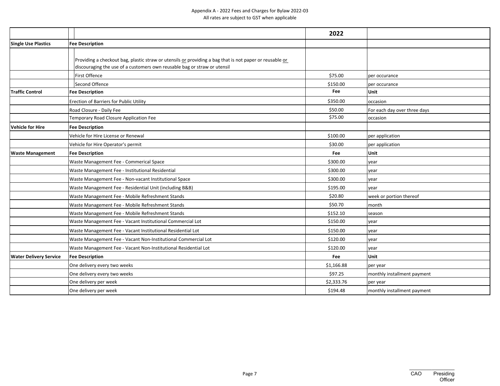|                               |                                                                                                                                                                                     | 2022       |                              |
|-------------------------------|-------------------------------------------------------------------------------------------------------------------------------------------------------------------------------------|------------|------------------------------|
| <b>Single Use Plastics</b>    | <b>Fee Description</b>                                                                                                                                                              |            |                              |
|                               | Providing a checkout bag, plastic straw or utensils or providing a bag that is not paper or reusable or<br>discouraging the use of a customers own reusable bag or straw or utensil |            |                              |
|                               | First Offence                                                                                                                                                                       | \$75.00    | per occurance                |
|                               | Second Offence                                                                                                                                                                      | \$150.00   | per occurance                |
| <b>Traffic Control</b>        | <b>Fee Description</b>                                                                                                                                                              | Fee        | Unit                         |
|                               | Erection of Barriers for Public Utility                                                                                                                                             | \$350.00   | occasion                     |
|                               | Road Closure - Daily Fee                                                                                                                                                            | \$50.00    | For each day over three days |
|                               | Temporary Road Closure Application Fee                                                                                                                                              | \$75.00    | occasion                     |
| <b>Vehicle for Hire</b>       | <b>Fee Description</b>                                                                                                                                                              |            |                              |
|                               | Vehicle for Hire License or Renewal                                                                                                                                                 | \$100.00   | per application              |
|                               | Vehicle for Hire Operator's permit                                                                                                                                                  | \$30.00    | per application              |
| <b>Waste Management</b>       | <b>Fee Description</b>                                                                                                                                                              | Fee        | Unit                         |
|                               | Waste Management Fee - Commerical Space                                                                                                                                             | \$300.00   | year                         |
|                               | Waste Management Fee - Institutional Residential                                                                                                                                    | \$300.00   | year                         |
|                               | Waste Management Fee - Non-vacant Institutional Space                                                                                                                               | \$300.00   | vear                         |
|                               | Waste Management Fee - Residential Unit (including B&B)                                                                                                                             | \$195.00   | vear                         |
|                               | Waste Management Fee - Mobile Refreshment Stands                                                                                                                                    | \$20.80    | week or portion thereof      |
|                               | Waste Management Fee - Mobile Refreshment Stands                                                                                                                                    | \$50.70    | month                        |
|                               | Waste Management Fee - Mobile Refreshment Stands                                                                                                                                    | \$152.10   | season                       |
|                               | Waste Management Fee - Vacant Institutional Commercial Lot                                                                                                                          | \$150.00   | year                         |
|                               | Waste Management Fee - Vacant Institutional Residential Lot                                                                                                                         | \$150.00   | vear                         |
|                               | Waste Management Fee - Vacant Non-Institutional Commercial Lot                                                                                                                      | \$120.00   | year                         |
|                               | Waste Management Fee - Vacant Non-Institutional Residential Lot                                                                                                                     | \$120.00   | year                         |
| <b>Water Delivery Service</b> | <b>Fee Description</b>                                                                                                                                                              | <b>Fee</b> | Unit                         |
|                               | One delivery every two weeks                                                                                                                                                        | \$1,166.88 | per year                     |
|                               | One delivery every two weeks                                                                                                                                                        | \$97.25    | monthly installment payment  |
|                               | One delivery per week                                                                                                                                                               | \$2,333.76 | per year                     |
|                               | One delivery per week                                                                                                                                                               | \$194.48   | monthly installment payment  |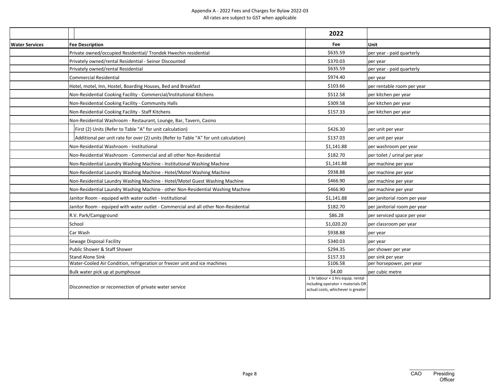|                       |                                                                                       | 2022                                                                                                         |                              |
|-----------------------|---------------------------------------------------------------------------------------|--------------------------------------------------------------------------------------------------------------|------------------------------|
| <b>Water Services</b> | <b>Fee Description</b>                                                                | Fee                                                                                                          | <b>Unit</b>                  |
|                       | Private owned/occupied Residential/ Trondek Hwechin residential                       | \$635.59                                                                                                     | per year - paid quarterly    |
|                       | Privately owned/rental Residential - Seinor Discounted                                | \$370.03                                                                                                     | per year                     |
|                       | Privately owned/rental Residential                                                    | \$635.59                                                                                                     | per year - paid quarterly    |
|                       | <b>Commercial Residential</b>                                                         | \$974.40                                                                                                     | per year                     |
|                       | Hotel, motel, Inn, Hostel, Boarding Houses, Bed and Breakfast                         | \$103.66                                                                                                     | per rentable room per year   |
|                       | Non-Residential Cooking Facility - Commercial/Institutional Kitchens                  | \$512.58                                                                                                     | per kitchen per year         |
|                       | Non-Residential Cooking Facility - Community Halls                                    | \$309.58                                                                                                     | per kitchen per year         |
|                       | Non-Residential Cooking Facility - Staff Kitchens                                     | \$157.33                                                                                                     | per kitchen per year         |
|                       | Non-Residential Washroom - Restaurant, Lounge, Bar, Tavern, Casino                    |                                                                                                              |                              |
|                       | First (2) Units (Refer to Table "A" for unit calculation)                             | \$426.30                                                                                                     | per unit per year            |
|                       | Additional per unit rate for over (2) units (Refer to Table "A" for unit calculation) | \$137.03                                                                                                     | per unit per year            |
|                       | Non-Residential Washroom - Institutional                                              | \$1,141.88                                                                                                   | per washroom per year        |
|                       | Non-Residential Washroom - Commercial and all other Non-Residential                   | \$182.70                                                                                                     | per toilet / urinal per year |
|                       | Non-Residential Laundry Washing Machine - Institutional Washing Machine               | \$1,141.88                                                                                                   | per machine per year         |
|                       | Non-Residential Laundry Washing Machine - Hotel/Motel Washing Machine                 | \$938.88                                                                                                     | per machine per year         |
|                       | Non-Residential Laundry Washing Machine - Hotel/Motel Guest Washing Machine           | \$466.90                                                                                                     | per machine per year         |
|                       | Non-Residential Laundry Washing Machine - other Non-Residential Washing Machine       | \$466.90                                                                                                     | per machine per year         |
|                       | Janitor Room - equiped with water outlet - Institutional                              | \$1,141.88                                                                                                   | per janitorial room per year |
|                       | Janitor Room - equiped with water outlet - Commercial and all other Non-Residential   | \$182.70                                                                                                     | per janitorial room per year |
|                       | R.V. Park/Campground                                                                  | \$86.28                                                                                                      | per serviced space per year  |
|                       | School                                                                                | \$1,020.20                                                                                                   | per classroom per year       |
|                       | Car Wash                                                                              | \$938.88                                                                                                     | per year                     |
|                       | Sewage Disposal Facility                                                              | \$340.03                                                                                                     | per year                     |
|                       | Public Shower & Staff Shower                                                          | \$294.35                                                                                                     | per shower per year          |
|                       | <b>Stand Alone Sink</b>                                                               | \$157.33                                                                                                     | per sink per year            |
|                       | Water-Cooled Air Condition, refrigeration or freezer unit and ice machines            | \$106.58                                                                                                     | per horsepower, per year     |
|                       | Bulk water pick up at pumphouse                                                       | \$4.00                                                                                                       | per cubic metre              |
|                       | Disconnection or reconnection of private water service                                | 1 hr labour + 1 hrs equip. rental<br>including operator + materials OR<br>actual costs, whichever is greater |                              |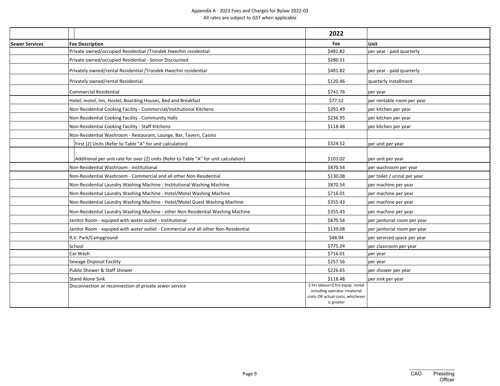|                       |                                                                                       | 2022                                                                                                               |                              |
|-----------------------|---------------------------------------------------------------------------------------|--------------------------------------------------------------------------------------------------------------------|------------------------------|
| <b>Sewer Services</b> | <b>Fee Description</b>                                                                | Fee                                                                                                                | <b>Unit</b>                  |
|                       | Private owned/occupied Residential /Trondek Hwechin residential                       | \$481.82                                                                                                           | per year - paid quarterly    |
|                       | Private owned/occupied Residential - Seinor Discounted                                | \$280.51                                                                                                           |                              |
|                       | Privately owned/rental Residential /Trondek Hwechin residential                       | \$481.82                                                                                                           | per year - paid quarterly    |
|                       | Privately owned/rental Residential                                                    | \$120.46                                                                                                           | quarterly installment        |
|                       | <b>Commercial Residential</b>                                                         | \$741.76                                                                                                           | per year                     |
|                       | Hotel, motel, Inn, Hostel, Boarding Houses, Bed and Breakfast                         | \$77.52                                                                                                            | per rentable room per year   |
|                       | Non-Residential Cooking Facility - Commercial/Institutional Kitchens                  | \$391.49                                                                                                           | per kitchen per year         |
|                       | Non-Residential Cooking Facility - Community Halls                                    | \$236.95                                                                                                           | per kitchen per year         |
|                       | Non-Residential Cooking Facility - Staff Kitchens                                     | \$118.48                                                                                                           | per kitchen per year         |
|                       | Non-Residential Washroom - Restaurant, Lounge, Bar, Tavern, Casino                    |                                                                                                                    |                              |
|                       | First (2) Units (Refer to Table "A" for unit calculation)                             | \$324.52                                                                                                           | per unit per year            |
|                       | Additional per unit rate for over (2) units (Refer to Table "A" for unit calculation) | \$103.02                                                                                                           | per unit per year            |
|                       | Non-Residential Washroom - Institutional                                              | \$870.54                                                                                                           | per washroom per year        |
|                       | Non-Residential Washroom - Commercial and all other Non-Residential                   | \$130.08                                                                                                           | per toilet / urinal per year |
|                       | Non-Residential Laundry Washing Machine - Institutional Washing Machine               | \$870.54                                                                                                           | per machine per year         |
|                       | Non-Residential Laundry Washing Machine - Hotel/Motel Washing Machine                 | \$716.01                                                                                                           | per machine per year         |
|                       | Non-Residential Laundry Washing Machine - Hotel/Motel Guest Washing Machine           | \$355.43                                                                                                           | per machine per year         |
|                       | Non-Residential Laundry Washing Machine - other Non-Residential Washing Machine       | \$355.43                                                                                                           | per machine per year         |
|                       | Janitor Room - equiped with water outlet - Institutional                              | \$870.54                                                                                                           | per janitorial room per year |
|                       | Janitor Room - equiped with water outlet - Commercial and all other Non-Residential   | \$139.08                                                                                                           | per janitorial room per year |
|                       | R.V. Park/Campground                                                                  | \$48.94                                                                                                            | per serviced space per year  |
|                       | School                                                                                | \$775.24                                                                                                           | per classroom per year       |
|                       | Car Wash                                                                              | \$716.01                                                                                                           | per year                     |
|                       | Sewage Disposal Facility                                                              | \$257.56                                                                                                           | per year                     |
|                       | Public Shower & Staff Shower                                                          | \$226.65                                                                                                           | per shower per year          |
|                       | <b>Stand Alone Sink</b>                                                               | \$118.48                                                                                                           | per sink per year            |
|                       | Disconnection or reconnection of private sewer service                                | 2 hrs labour+2 hrs equip. rental<br>including operator +material<br>costs OR actual costs, whichever<br>is greater |                              |